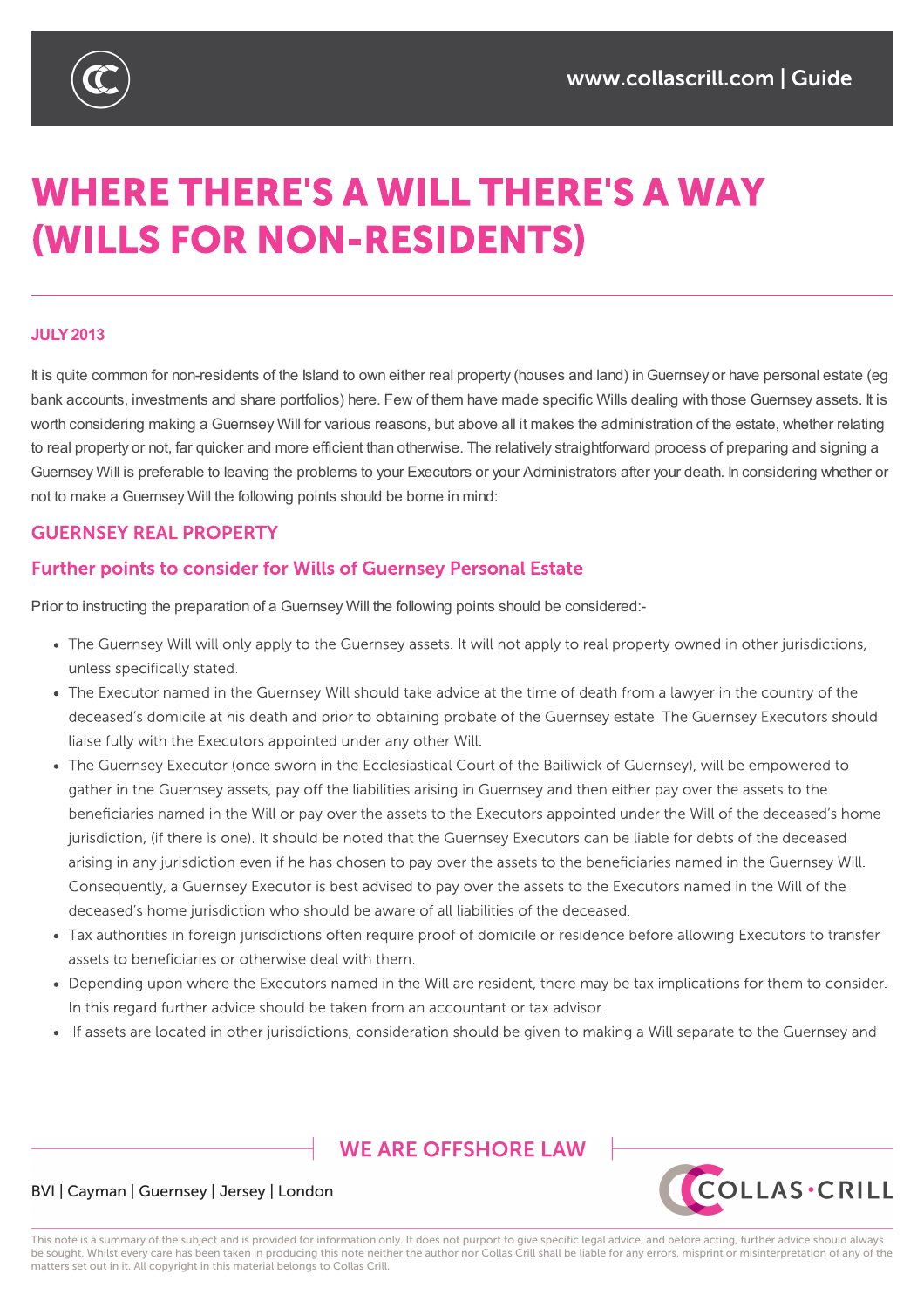

# **WHERE THERE'S A WILL THERE'S A WAY (WILLS FOR NON-RESIDENTS)**

#### **JULY2013**

It is quite common for non-residents of the Island to own either real property (houses and land) in Guernsey or have personal estate (eq bank accounts, investments and share portfolios) here. Few of them have made specific Wills dealing with those Guernsey assets. It is worth considering making a Guernsey Will for various reasons, but above all it makes the administration of the estate, whether relating to real property or not, far quicker and more efficient than otherwise. The relatively straightforward process of preparing and signing a Guernsey Will is preferable to leaving the problems to your Executors or your Administrators after your death. In considering whether or not to make a Guernsey Will the following points should be borne in mind:

### **GUERNSEY REAL PROPERTY**

### **Further points to consider for Wills of Guernsey Personal Estate**

Prior to instructing the preparation of a Guernsey Will the following points should be considered:-

- The Guernsey Will will only apply to the Guernsey assets. It will not apply to real property owned in other jurisdictions, unless specifically stated.
- The Executor named in the Guernsey Will should take advice at the time of death from a lawyer in the country of the deceased's domicile at his death and prior to obtaining probate of the Guernsey estate. The Guernsey Executors should liaise fully with the Executors appointed under any other Will.
- The Guernsey Executor (once sworn in the Ecclesiastical Court of the Bailiwick of Guernsey), will be empowered to gather in the Guernsey assets, pay off the liabilities arising in Guernsey and then either pay over the assets to the beneficiaries named in the Will or pay over the assets to the Executors appointed under the Will of the deceased's home jurisdiction, (if there is one). It should be noted that the Guernsey Executors can be liable for debts of the deceased arising in any jurisdiction even if he has chosen to pay over the assets to the beneficiaries named in the Guernsey Will. Consequently, a Guernsey Executor is best advised to pay over the assets to the Executors named in the Will of the deceased's home jurisdiction who should be aware of all liabilities of the deceased.
- Tax authorities in foreign jurisdictions often require proof of domicile or residence before allowing Executors to transfer assets to beneficiaries or otherwise deal with them.
- . Depending upon where the Executors named in the Will are resident, there may be tax implications for them to consider. In this regard further advice should be taken from an accountant or tax advisor.
- If assets are located in other jurisdictions, consideration should be given to making a Will separate to the Guernsey and

# **WE ARE OFFSHORE I AW**



#### BVI | Cayman | Guernsey | Jersey | London

This note is a summary of the subject and is provided for information only. It does not purport to give specific legal advice, and before acting, further advice should always be sought. Whilst every care has been taken in producing this note neither the author nor Collas Crill shall be liable for any errors, misprint or misinterpretation of any of the matters set out in it. All copyright in this material belongs to Collas Crill.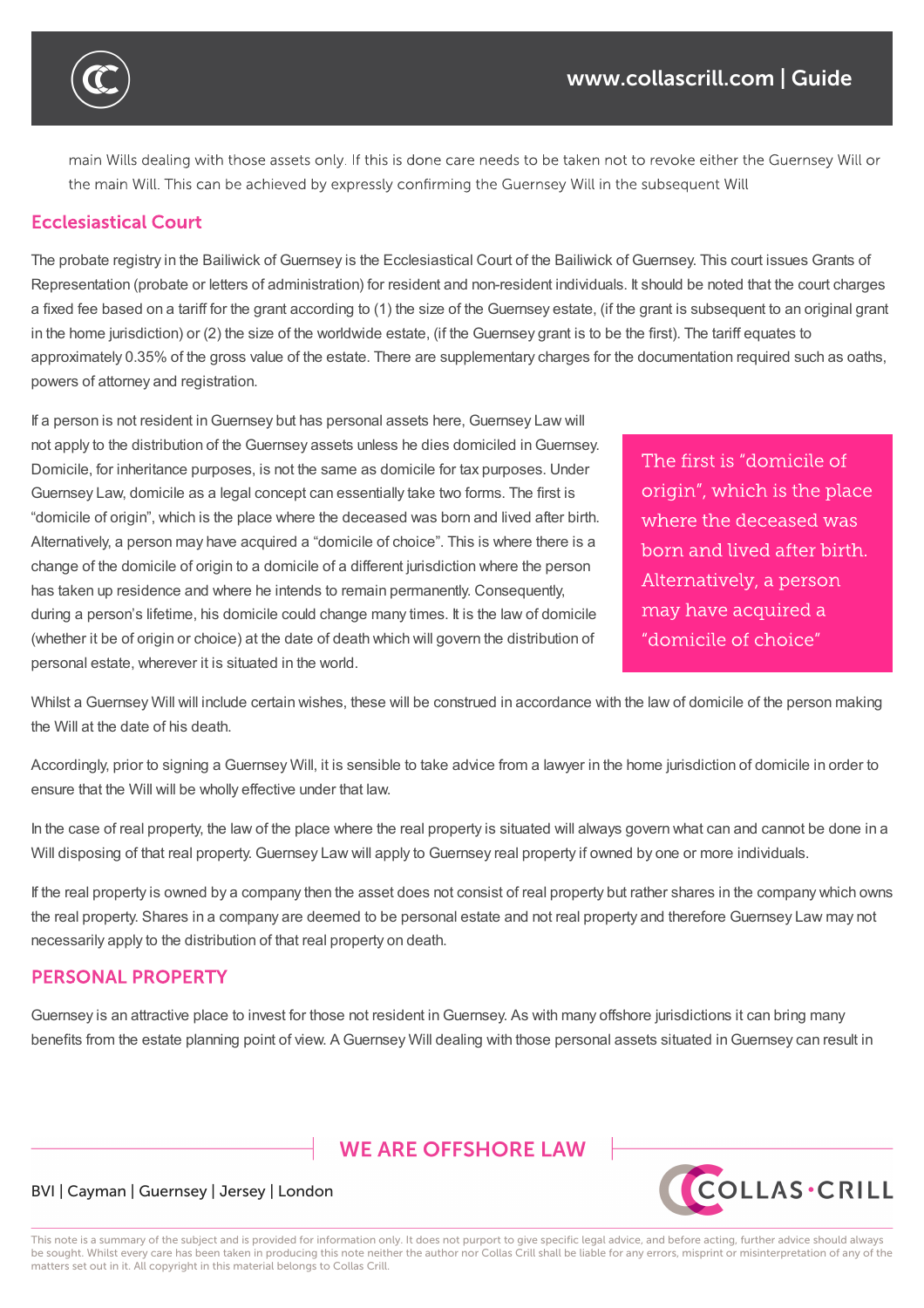

main Wills dealing with those assets only. If this is done care needs to be taken not to revoke either the Guernsey Will or the main Will. This can be achieved by expressly confirming the Guernsey Will in the subsequent Will

## **Ecclesiastical Court**

The probate registry in the Bailiwick of Guernsey is the Ecclesiastical Court of the Bailiwick of Guernsey. This court issues Grants of Representation (probate or letters of administration) for resident and non-resident individuals. It should be noted that the court charges a fixed fee based on a tariff for the grant according to (1) the size of the Guernsey estate, (if the grant is subsequent to an original grant in the home jurisdiction) or (2) the size of the worldwide estate, (if the Guernsey grant is to be the first). The tariff equates to approximately 0.35% of the gross value of the estate. There are supplementary charges for the documentation required such as oaths, powers of attorney and registration.

If a person is not resident inGuernsey but has personal assets here, Guernsey Law will not apply to the distribution of the Guernsey assets unless he dies domiciled inGuernsey. Domicile, for inheritance purposes, is not the same as domicile for tax purposes. Under Guernsey Law, domicile as a legal concept can essentially take two forms. The first is "domicile of origin", which is the place where the deceased was born and lived after birth. Alternatively, a person may have acquired a "domicile of choice". This is where there is a change of the domicile of origin to a domicile of a different jurisdiction where the person has taken up residence and where he intends to remain permanently. Consequently, during a person's lifetime, his domicile could change many times. It is the law of domicile (whether it be of origin or choice) at the date of death which will govern the distribution of personal estate, wherever it is situated in the world.

The first is "domicile of origin", which is the place where the deceased was born and lived after birth. Alternatively, a person may have acquired a "domicile of choice"

Whilst a Guernsey Will will include certain wishes, these will be construed in accordance with the law of domicile of the person making the Will at the date of his death.

Accordingly, prior to signing a Guernsey Will, it is sensible to take advice from a lawyer in the home jurisdiction of domicile in order to ensure that the Will will be wholly effective under that law.

In the case of real property, the law of the place where the real property is situated will always govern what can and cannot be done in a Will disposing of that real property. Guernsey Law will apply to Guernsey real property if owned by one or more individuals.

If the real property is owned by a company then the asset does not consist of real property but rather shares in the company which owns the real property. Shares in a company are deemed to be personal estate and not real property and therefore Guernsey Law may not necessarily apply to the distribution of that real property on death.

### **PERSONAL PROPERTY**

Guernsey is an attractive place to invest for those not resident inGuernsey. As with many offshore jurisdictions it can bring many benefits from the estate planning point of view. A Guernsey Will dealing with those personal assets situated in Guernsey can result in

**WE ARE OFFSHORE I AW** 



#### BVI | Cayman | Guernsey | Jersey | London

This note is a summary of the subject and is provided for information only. It does not purport to give specific legal advice, and before acting, further advice should always be sought. Whilst every care has been taken in producing this note neither the author nor Collas Crill shall be liable for any errors, misprint or misinterpretation of any of the matters set out in it. All copyright in this material belongs to Collas Crill.